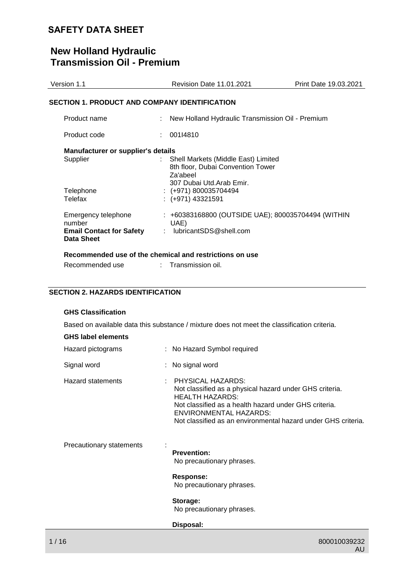# **New Holland Hydraulic Transmission Oil - Premium**

| Version 1.1                                          | <b>Revision Date 11.01.2021</b>                                                                                  | Print Date 19.03.2021 |
|------------------------------------------------------|------------------------------------------------------------------------------------------------------------------|-----------------------|
| SECTION 1. PRODUCT AND COMPANY IDENTIFICATION        |                                                                                                                  |                       |
| Product name                                         | New Holland Hydraulic Transmission Oil - Premium                                                                 |                       |
| Product code                                         | 001I4810                                                                                                         |                       |
| Manufacturer or supplier's details                   |                                                                                                                  |                       |
| Supplier                                             | Shell Markets (Middle East) Limited<br>8th floor, Dubai Convention Tower<br>Za'abeel<br>307 Dubai Utd.Arab Emir. |                       |
| Telephone                                            | $: (+971) 800035704494$                                                                                          |                       |
| Telefax                                              | $: (+971)$ 43321591                                                                                              |                       |
| Emergency telephone<br>number                        | : +60383168800 (OUTSIDE UAE); 800035704494 (WITHIN<br>UAE)                                                       |                       |
| <b>Email Contact for Safety</b><br><b>Data Sheet</b> | lubricantSDS@shell.com                                                                                           |                       |
|                                                      | Recommended use of the chemical and restrictions on use                                                          |                       |

| Recommended use | Transmission oil. |  |
|-----------------|-------------------|--|
|                 |                   |  |

## **SECTION 2. HAZARDS IDENTIFICATION**

### **GHS Classification**

Based on available data this substance / mixture does not meet the classification criteria.

| <b>GHS label elements</b> |  |
|---------------------------|--|
|---------------------------|--|

| Hazard pictograms        | : No Hazard Symbol required                                                                                                                                                                                                                                         |
|--------------------------|---------------------------------------------------------------------------------------------------------------------------------------------------------------------------------------------------------------------------------------------------------------------|
| Signal word              | : No signal word                                                                                                                                                                                                                                                    |
| <b>Hazard statements</b> | : PHYSICAL HAZARDS:<br>Not classified as a physical hazard under GHS criteria.<br><b>HEALTH HAZARDS:</b><br>Not classified as a health hazard under GHS criteria.<br><b>ENVIRONMENTAL HAZARDS:</b><br>Not classified as an environmental hazard under GHS criteria. |
| Precautionary statements | <b>Prevention:</b><br>No precautionary phrases.<br>Response:                                                                                                                                                                                                        |
|                          | No precautionary phrases.                                                                                                                                                                                                                                           |
|                          | Storage:<br>No precautionary phrases.                                                                                                                                                                                                                               |
|                          | Disposal:                                                                                                                                                                                                                                                           |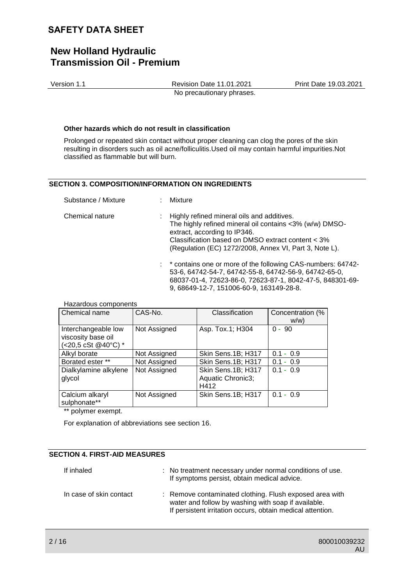# **New Holland Hydraulic Transmission Oil - Premium**

Version 1.1 Revision Date 11.01.2021 Print Date 19.03.2021 No precautionary phrases.

#### **Other hazards which do not result in classification**

Prolonged or repeated skin contact without proper cleaning can clog the pores of the skin resulting in disorders such as oil acne/folliculitis.Used oil may contain harmful impurities.Not classified as flammable but will burn.

### **SECTION 3. COMPOSITION/INFORMATION ON INGREDIENTS**

| Substance / Mixture | : Mixture                                                                                                                                                                                                                                              |
|---------------------|--------------------------------------------------------------------------------------------------------------------------------------------------------------------------------------------------------------------------------------------------------|
| Chemical nature     | : Highly refined mineral oils and additives.<br>The highly refined mineral oil contains <3% (w/w) DMSO-<br>extract, according to IP346.<br>Classification based on DMSO extract content < 3%<br>(Regulation (EC) 1272/2008, Annex VI, Part 3, Note L). |
|                     | : * contains one or more of the following CAS-numbers: 64742-<br>53-6, 64742-54-7, 64742-55-8, 64742-56-9, 64742-65-0,<br>68037-01-4, 72623-86-0, 72623-87-1, 8042-47-5, 848301-69-<br>9, 68649-12-7, 151006-60-9, 163149-28-8.                        |

| <u>Hazardous components</u><br>Chemical name                     | CAS-No.      | Classification                                  | Concentration (%<br>W/W |
|------------------------------------------------------------------|--------------|-------------------------------------------------|-------------------------|
| Interchangeable low<br>viscosity base oil<br>(<20,5 cSt @40°C) * | Not Assigned | Asp. Tox.1; H304                                | -90<br>$0 -$            |
| Alkyl borate                                                     | Not Assigned | Skin Sens.1B; H317                              | $0.1 - 0.9$             |
| Borated ester **                                                 | Not Assigned | Skin Sens.1B; H317                              | $-0.9$<br>0.1           |
| Dialkylamine alkylene<br>glycol                                  | Not Assigned | Skin Sens.1B; H317<br>Aquatic Chronic3;<br>H412 | $0.1 - 0.9$             |
| Calcium alkaryl<br>sulphonate**                                  | Not Assigned | Skin Sens.1B; H317                              | $0.1 - 0.9$             |

\*\* polymer exempt.

Hazardous components

For explanation of abbreviations see section 16.

## **SECTION 4. FIRST-AID MEASURES**

| If inhaled              | : No treatment necessary under normal conditions of use.<br>If symptoms persist, obtain medical advice.                                                                      |
|-------------------------|------------------------------------------------------------------------------------------------------------------------------------------------------------------------------|
| In case of skin contact | : Remove contaminated clothing. Flush exposed area with<br>water and follow by washing with soap if available.<br>If persistent irritation occurs, obtain medical attention. |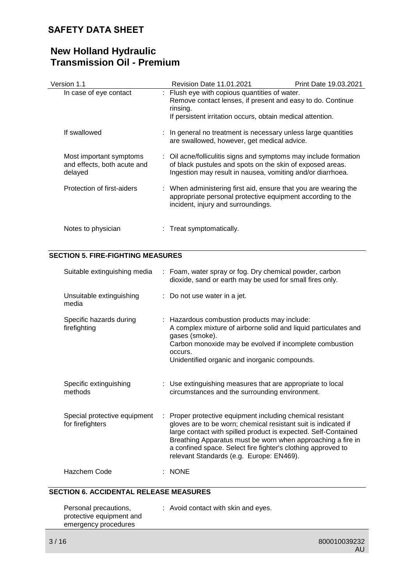# **New Holland Hydraulic Transmission Oil - Premium**

| Version 1.1                                                       | Revision Date 11.01.2021                                                                                                                                                                    | Print Date 19.03.2021 |
|-------------------------------------------------------------------|---------------------------------------------------------------------------------------------------------------------------------------------------------------------------------------------|-----------------------|
| In case of eye contact                                            | : Flush eye with copious quantities of water.<br>Remove contact lenses, if present and easy to do. Continue<br>rinsing.<br>If persistent irritation occurs, obtain medical attention.       |                       |
| If swallowed                                                      | : In general no treatment is necessary unless large quantities<br>are swallowed, however, get medical advice.                                                                               |                       |
| Most important symptoms<br>and effects, both acute and<br>delayed | : Oil acne/folliculitis signs and symptoms may include formation<br>of black pustules and spots on the skin of exposed areas.<br>Ingestion may result in nausea, vomiting and/or diarrhoea. |                       |
| Protection of first-aiders                                        | : When administering first aid, ensure that you are wearing the<br>appropriate personal protective equipment according to the<br>incident, injury and surroundings.                         |                       |
| Notes to physician                                                | : Treat symptomatically.                                                                                                                                                                    |                       |

## **SECTION 5. FIRE-FIGHTING MEASURES**

| Suitable extinguishing media                     | : Foam, water spray or fog. Dry chemical powder, carbon<br>dioxide, sand or earth may be used for small fires only.                                                                                                                                                                                                                                                       |
|--------------------------------------------------|---------------------------------------------------------------------------------------------------------------------------------------------------------------------------------------------------------------------------------------------------------------------------------------------------------------------------------------------------------------------------|
| Unsuitable extinguishing<br>media                | : Do not use water in a jet.                                                                                                                                                                                                                                                                                                                                              |
| Specific hazards during<br>firefighting          | : Hazardous combustion products may include:<br>A complex mixture of airborne solid and liquid particulates and<br>gases (smoke).<br>Carbon monoxide may be evolved if incomplete combustion<br>occurs.<br>Unidentified organic and inorganic compounds.                                                                                                                  |
| Specific extinguishing<br>methods                | : Use extinguishing measures that are appropriate to local<br>circumstances and the surrounding environment.                                                                                                                                                                                                                                                              |
| Special protective equipment<br>for firefighters | : Proper protective equipment including chemical resistant<br>gloves are to be worn; chemical resistant suit is indicated if<br>large contact with spilled product is expected. Self-Contained<br>Breathing Apparatus must be worn when approaching a fire in<br>a confined space. Select fire fighter's clothing approved to<br>relevant Standards (e.g. Europe: EN469). |
| Hazchem Code                                     | <b>NONE</b>                                                                                                                                                                                                                                                                                                                                                               |

## **SECTION 6. ACCIDENTAL RELEASE MEASURES**

| Personal precautions,    | : Avoid contact with skin and eyes. |
|--------------------------|-------------------------------------|
| protective equipment and |                                     |
| emergency procedures     |                                     |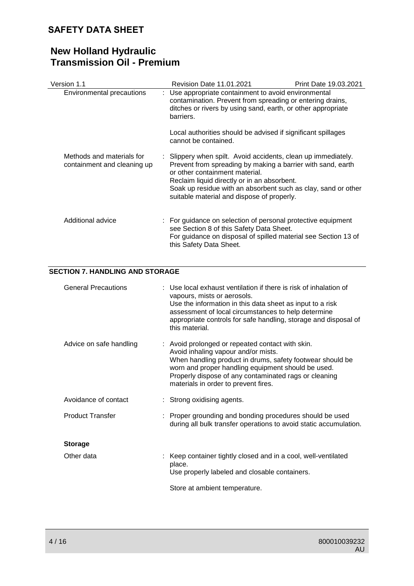# **New Holland Hydraulic Transmission Oil - Premium**

| Version 1.1                                              | <b>Revision Date 11.01.2021</b>                                                                                                                                                                                                                                                                                              | Print Date 19.03.2021 |
|----------------------------------------------------------|------------------------------------------------------------------------------------------------------------------------------------------------------------------------------------------------------------------------------------------------------------------------------------------------------------------------------|-----------------------|
| Environmental precautions                                | : Use appropriate containment to avoid environmental<br>contamination. Prevent from spreading or entering drains,<br>ditches or rivers by using sand, earth, or other appropriate<br>barriers.                                                                                                                               |                       |
|                                                          | Local authorities should be advised if significant spillages<br>cannot be contained.                                                                                                                                                                                                                                         |                       |
| Methods and materials for<br>containment and cleaning up | : Slippery when spilt. Avoid accidents, clean up immediately.<br>Prevent from spreading by making a barrier with sand, earth<br>or other containment material.<br>Reclaim liquid directly or in an absorbent.<br>Soak up residue with an absorbent such as clay, sand or other<br>suitable material and dispose of properly. |                       |
| Additional advice                                        | : For guidance on selection of personal protective equipment<br>see Section 8 of this Safety Data Sheet.<br>For guidance on disposal of spilled material see Section 13 of<br>this Safety Data Sheet.                                                                                                                        |                       |

## **SECTION 7. HANDLING AND STORAGE**

| <b>General Precautions</b> | : Use local exhaust ventilation if there is risk of inhalation of<br>vapours, mists or aerosols.<br>Use the information in this data sheet as input to a risk<br>assessment of local circumstances to help determine<br>appropriate controls for safe handling, storage and disposal of<br>this material.   |
|----------------------------|-------------------------------------------------------------------------------------------------------------------------------------------------------------------------------------------------------------------------------------------------------------------------------------------------------------|
| Advice on safe handling    | : Avoid prolonged or repeated contact with skin.<br>Avoid inhaling vapour and/or mists.<br>When handling product in drums, safety footwear should be<br>worn and proper handling equipment should be used.<br>Properly dispose of any contaminated rags or cleaning<br>materials in order to prevent fires. |
| Avoidance of contact       | : Strong oxidising agents.                                                                                                                                                                                                                                                                                  |
| <b>Product Transfer</b>    | : Proper grounding and bonding procedures should be used<br>during all bulk transfer operations to avoid static accumulation.                                                                                                                                                                               |
| <b>Storage</b>             |                                                                                                                                                                                                                                                                                                             |
| Other data                 | : Keep container tightly closed and in a cool, well-ventilated<br>place.<br>Use properly labeled and closable containers.<br>Store at ambient temperature.                                                                                                                                                  |
|                            |                                                                                                                                                                                                                                                                                                             |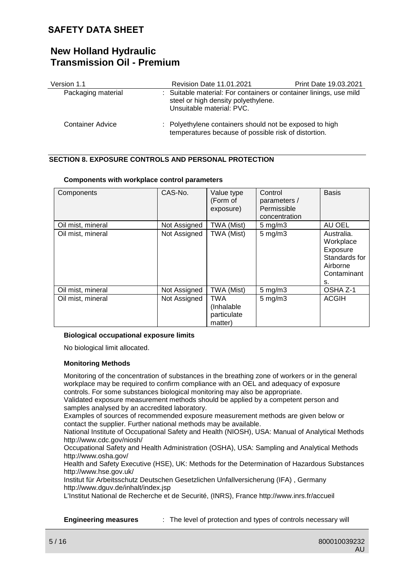# **New Holland Hydraulic Transmission Oil - Premium**

| Version 1.1             | Revision Date 11.01.2021                                                                                                               | Print Date 19.03.2021 |
|-------------------------|----------------------------------------------------------------------------------------------------------------------------------------|-----------------------|
| Packaging material      | : Suitable material: For containers or container linings, use mild<br>steel or high density polyethylene.<br>Unsuitable material: PVC. |                       |
| <b>Container Advice</b> | : Polyethylene containers should not be exposed to high<br>temperatures because of possible risk of distortion.                        |                       |

## **SECTION 8. EXPOSURE CONTROLS AND PERSONAL PROTECTION**

| Components        | CAS-No.      | Value type<br>(Form of<br>exposure)                | Control<br>parameters /<br>Permissible<br>concentration | <b>Basis</b>                                                                          |
|-------------------|--------------|----------------------------------------------------|---------------------------------------------------------|---------------------------------------------------------------------------------------|
| Oil mist, mineral | Not Assigned | TWA (Mist)                                         | $5 \text{ mg/m}$                                        | AU OEL                                                                                |
| Oil mist, mineral | Not Assigned | TWA (Mist)                                         | $5$ mg/m $3$                                            | Australia.<br>Workplace<br>Exposure<br>Standards for<br>Airborne<br>Contaminant<br>s. |
| Oil mist, mineral | Not Assigned | TWA (Mist)                                         | $5$ mg/m $3$                                            | OSHA Z-1                                                                              |
| Oil mist, mineral | Not Assigned | <b>TWA</b><br>(Inhalable<br>particulate<br>matter) | $5$ mg/m $3$                                            | <b>ACGIH</b>                                                                          |

#### **Components with workplace control parameters**

### **Biological occupational exposure limits**

No biological limit allocated.

#### **Monitoring Methods**

Monitoring of the concentration of substances in the breathing zone of workers or in the general workplace may be required to confirm compliance with an OEL and adequacy of exposure controls. For some substances biological monitoring may also be appropriate.

Validated exposure measurement methods should be applied by a competent person and samples analysed by an accredited laboratory.

Examples of sources of recommended exposure measurement methods are given below or contact the supplier. Further national methods may be available.

National Institute of Occupational Safety and Health (NIOSH), USA: Manual of Analytical Methods http://www.cdc.gov/niosh/

Occupational Safety and Health Administration (OSHA), USA: Sampling and Analytical Methods http://www.osha.gov/

Health and Safety Executive (HSE), UK: Methods for the Determination of Hazardous Substances http://www.hse.gov.uk/

Institut für Arbeitsschutz Deutschen Gesetzlichen Unfallversicherung (IFA) , Germany http://www.dguv.de/inhalt/index.jsp

L'Institut National de Recherche et de Securité, (INRS), France http://www.inrs.fr/accueil

**Engineering measures** : The level of protection and types of controls necessary will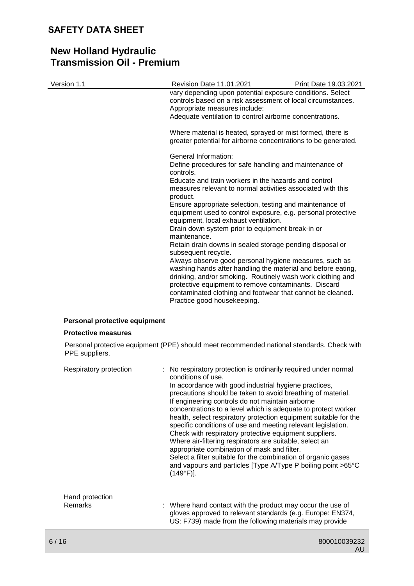| Version 1.1                   | Revision Date 11.01.2021                                                                                                                                                                                                                                                                                                                  | Print Date 19.03.2021 |
|-------------------------------|-------------------------------------------------------------------------------------------------------------------------------------------------------------------------------------------------------------------------------------------------------------------------------------------------------------------------------------------|-----------------------|
|                               | vary depending upon potential exposure conditions. Select<br>controls based on a risk assessment of local circumstances.<br>Appropriate measures include:                                                                                                                                                                                 |                       |
|                               | Adequate ventilation to control airborne concentrations.                                                                                                                                                                                                                                                                                  |                       |
|                               | Where material is heated, sprayed or mist formed, there is<br>greater potential for airborne concentrations to be generated.                                                                                                                                                                                                              |                       |
|                               | General Information:                                                                                                                                                                                                                                                                                                                      |                       |
|                               | Define procedures for safe handling and maintenance of<br>controls.                                                                                                                                                                                                                                                                       |                       |
|                               | Educate and train workers in the hazards and control<br>measures relevant to normal activities associated with this<br>product.                                                                                                                                                                                                           |                       |
|                               | Ensure appropriate selection, testing and maintenance of<br>equipment used to control exposure, e.g. personal protective<br>equipment, local exhaust ventilation.                                                                                                                                                                         |                       |
|                               | Drain down system prior to equipment break-in or<br>maintenance.                                                                                                                                                                                                                                                                          |                       |
|                               | Retain drain downs in sealed storage pending disposal or<br>subsequent recycle.                                                                                                                                                                                                                                                           |                       |
|                               | Always observe good personal hygiene measures, such as<br>washing hands after handling the material and before eating,<br>drinking, and/or smoking. Routinely wash work clothing and<br>protective equipment to remove contaminants. Discard<br>contaminated clothing and footwear that cannot be cleaned.<br>Practice good housekeeping. |                       |
| Personal protective equipment |                                                                                                                                                                                                                                                                                                                                           |                       |
| <b>Protective measures</b>    |                                                                                                                                                                                                                                                                                                                                           |                       |
| PPE suppliers.                | Personal protective equipment (PPE) should meet recommended national standards. Check with                                                                                                                                                                                                                                                |                       |
| Respiratory protection        | : No respiratory protection is ordinarily required under normal<br>conditions of use.<br>la accordance with good industrial bygione prostiges                                                                                                                                                                                             |                       |

| Hand protection<br>Remarks | : Where hand contact with the product may occur the use of<br>gloves approved to relevant standards (e.g. Europe: EN374,<br>US: F739) made from the following materials may provide                                                                                                                                                                                                                                                                                                                                                                                                                                                                                                                                      |
|----------------------------|--------------------------------------------------------------------------------------------------------------------------------------------------------------------------------------------------------------------------------------------------------------------------------------------------------------------------------------------------------------------------------------------------------------------------------------------------------------------------------------------------------------------------------------------------------------------------------------------------------------------------------------------------------------------------------------------------------------------------|
|                            | conditions of use.<br>In accordance with good industrial hygiene practices,<br>precautions should be taken to avoid breathing of material.<br>If engineering controls do not maintain airborne<br>concentrations to a level which is adequate to protect worker<br>health, select respiratory protection equipment suitable for the<br>specific conditions of use and meeting relevant legislation.<br>Check with respiratory protective equipment suppliers.<br>Where air-filtering respirators are suitable, select an<br>appropriate combination of mask and filter.<br>Select a filter suitable for the combination of organic gases<br>and vapours and particles [Type A/Type P boiling point >65°C<br>$(149°F)$ ]. |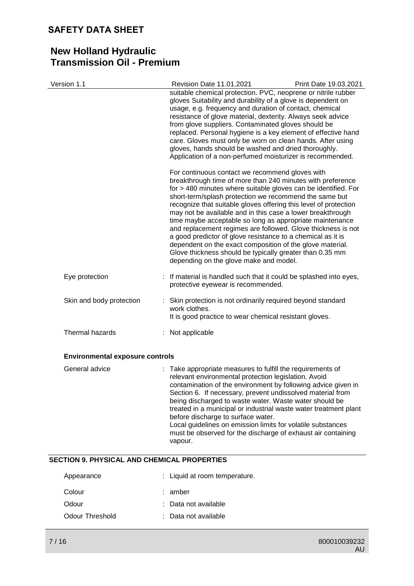| Version 1.1                                        | Revision Date 11.01.2021<br>suitable chemical protection. PVC, neoprene or nitrile rubber                                                                                                                                                                                                                                                                                                                                                                                                                                                                                                                                                                                                                                                 | Print Date 19.03.2021 |
|----------------------------------------------------|-------------------------------------------------------------------------------------------------------------------------------------------------------------------------------------------------------------------------------------------------------------------------------------------------------------------------------------------------------------------------------------------------------------------------------------------------------------------------------------------------------------------------------------------------------------------------------------------------------------------------------------------------------------------------------------------------------------------------------------------|-----------------------|
|                                                    | gloves Suitability and durability of a glove is dependent on<br>usage, e.g. frequency and duration of contact, chemical<br>resistance of glove material, dexterity. Always seek advice<br>from glove suppliers. Contaminated gloves should be<br>replaced. Personal hygiene is a key element of effective hand<br>care. Gloves must only be worn on clean hands. After using<br>gloves, hands should be washed and dried thoroughly.<br>Application of a non-perfumed moisturizer is recommended.                                                                                                                                                                                                                                         |                       |
|                                                    | For continuous contact we recommend gloves with<br>breakthrough time of more than 240 minutes with preference<br>for > 480 minutes where suitable gloves can be identified. For<br>short-term/splash protection we recommend the same but<br>recognize that suitable gloves offering this level of protection<br>may not be available and in this case a lower breakthrough<br>time maybe acceptable so long as appropriate maintenance<br>and replacement regimes are followed. Glove thickness is not<br>a good predictor of glove resistance to a chemical as it is<br>dependent on the exact composition of the glove material.<br>Glove thickness should be typically greater than 0.35 mm<br>depending on the glove make and model. |                       |
| Eye protection                                     | : If material is handled such that it could be splashed into eyes,<br>protective eyewear is recommended.                                                                                                                                                                                                                                                                                                                                                                                                                                                                                                                                                                                                                                  |                       |
| Skin and body protection                           | Skin protection is not ordinarily required beyond standard<br>work clothes.<br>It is good practice to wear chemical resistant gloves.                                                                                                                                                                                                                                                                                                                                                                                                                                                                                                                                                                                                     |                       |
| Thermal hazards                                    | : Not applicable                                                                                                                                                                                                                                                                                                                                                                                                                                                                                                                                                                                                                                                                                                                          |                       |
| <b>Environmental exposure controls</b>             |                                                                                                                                                                                                                                                                                                                                                                                                                                                                                                                                                                                                                                                                                                                                           |                       |
| General advice                                     | : Take appropriate measures to fulfill the requirements of<br>relevant environmental protection legislation. Avoid<br>contamination of the environment by following advice given in<br>Section 6. If necessary, prevent undissolved material from<br>being discharged to waste water. Waste water should be<br>treated in a municipal or industrial waste water treatment plant<br>before discharge to surface water.<br>Local guidelines on emission limits for volatile substances<br>must be observed for the discharge of exhaust air containing<br>vapour.                                                                                                                                                                           |                       |
| <b>SECTION 9. PHYSICAL AND CHEMICAL PROPERTIES</b> |                                                                                                                                                                                                                                                                                                                                                                                                                                                                                                                                                                                                                                                                                                                                           |                       |
| Appearance                                         | Liquid at room temperature.                                                                                                                                                                                                                                                                                                                                                                                                                                                                                                                                                                                                                                                                                                               |                       |
| Colour                                             | amber                                                                                                                                                                                                                                                                                                                                                                                                                                                                                                                                                                                                                                                                                                                                     |                       |
| Odour                                              | Data not available                                                                                                                                                                                                                                                                                                                                                                                                                                                                                                                                                                                                                                                                                                                        |                       |
| <b>Odour Threshold</b>                             | Data not available                                                                                                                                                                                                                                                                                                                                                                                                                                                                                                                                                                                                                                                                                                                        |                       |
| 7/16                                               |                                                                                                                                                                                                                                                                                                                                                                                                                                                                                                                                                                                                                                                                                                                                           | 800010039232          |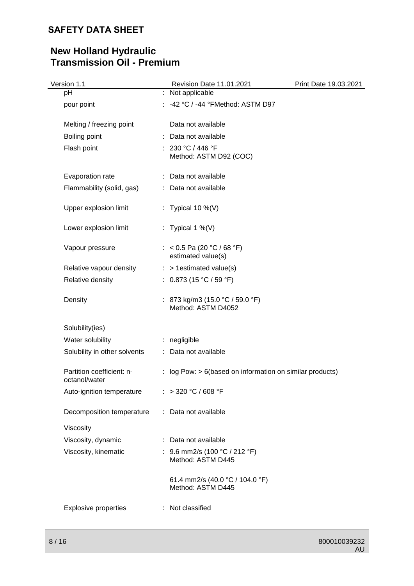| Version 1.1                                | Revision Date 11.01.2021                                    | Print Date 19.03.2021 |
|--------------------------------------------|-------------------------------------------------------------|-----------------------|
| pH                                         | : Not applicable                                            |                       |
| pour point                                 | -42 °C / -44 °FMethod: ASTM D97                             |                       |
| Melting / freezing point                   | Data not available                                          |                       |
| Boiling point                              | : Data not available                                        |                       |
| Flash point                                | : 230 °C / 446 °F<br>Method: ASTM D92 (COC)                 |                       |
| Evaporation rate                           | : Data not available                                        |                       |
| Flammability (solid, gas)                  | : Data not available                                        |                       |
| Upper explosion limit                      | : Typical 10 %(V)                                           |                       |
| Lower explosion limit                      | : Typical 1 %(V)                                            |                       |
| Vapour pressure                            | : < $0.5$ Pa (20 °C / 68 °F)<br>estimated value(s)          |                       |
| Relative vapour density                    | $:$ > 1 estimated value(s)                                  |                       |
| Relative density                           | : $0.873$ (15 °C / 59 °F)                                   |                       |
| Density                                    | : 873 kg/m3 (15.0 °C / 59.0 °F)<br>Method: ASTM D4052       |                       |
| Solubility(ies)                            |                                                             |                       |
| Water solubility                           | : negligible                                                |                       |
| Solubility in other solvents               | : Data not available                                        |                       |
| Partition coefficient: n-<br>octanol/water | : log Pow: $> 6$ (based on information on similar products) |                       |
| Auto-ignition temperature                  | : > 320 °C / 608 °F                                         |                       |
| Decomposition temperature                  | : Data not available                                        |                       |
| Viscosity                                  |                                                             |                       |
| Viscosity, dynamic                         | : Data not available                                        |                       |
| Viscosity, kinematic                       | : 9.6 mm2/s (100 °C / 212 °F)<br>Method: ASTM D445          |                       |
|                                            | 61.4 mm2/s (40.0 °C / 104.0 °F)<br>Method: ASTM D445        |                       |
| <b>Explosive properties</b>                | : Not classified                                            |                       |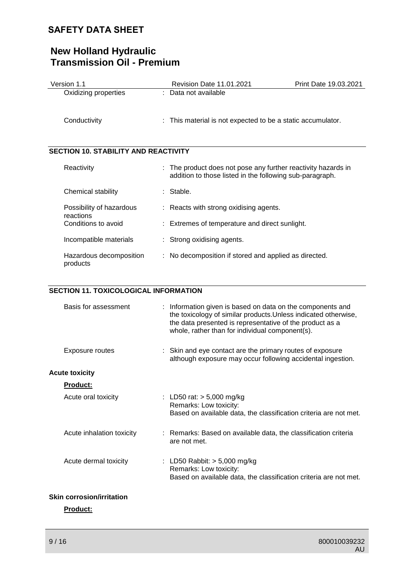# **New Holland Hydraulic Transmission Oil - Premium**

| Version 1.1                                 | <b>Revision Date 11.01.2021</b>                                                                                         | <b>Print Date 19.03.2021</b> |
|---------------------------------------------|-------------------------------------------------------------------------------------------------------------------------|------------------------------|
| Oxidizing properties                        | : Data not available                                                                                                    |                              |
| Conductivity                                | This material is not expected to be a static accumulator.<br>t.                                                         |                              |
| <b>SECTION 10. STABILITY AND REACTIVITY</b> |                                                                                                                         |                              |
| Reactivity                                  | The product does not pose any further reactivity hazards in<br>addition to those listed in the following sub-paragraph. |                              |
| Chemical stability                          | : Stable.                                                                                                               |                              |
| Possibility of hazardous<br>reactions       | : Reacts with strong oxidising agents.                                                                                  |                              |
| Conditions to avoid                         | Extremes of temperature and direct sunlight.                                                                            |                              |
| Incompatible materials                      | : Strong oxidising agents.                                                                                              |                              |
| Hazardous decomposition<br>products         | : No decomposition if stored and applied as directed.                                                                   |                              |

## **SECTION 11. TOXICOLOGICAL INFORMATION**

| Basis for assessment             | : Information given is based on data on the components and<br>the toxicology of similar products. Unless indicated otherwise,<br>the data presented is representative of the product as a<br>whole, rather than for individual component(s). |
|----------------------------------|----------------------------------------------------------------------------------------------------------------------------------------------------------------------------------------------------------------------------------------------|
| Exposure routes                  | : Skin and eye contact are the primary routes of exposure<br>although exposure may occur following accidental ingestion.                                                                                                                     |
| <b>Acute toxicity</b>            |                                                                                                                                                                                                                                              |
| <b>Product:</b>                  |                                                                                                                                                                                                                                              |
| Acute oral toxicity              | : LD50 rat: $> 5,000$ mg/kg<br>Remarks: Low toxicity:<br>Based on available data, the classification criteria are not met.                                                                                                                   |
| Acute inhalation toxicity        | : Remarks: Based on available data, the classification criteria<br>are not met.                                                                                                                                                              |
| Acute dermal toxicity            | : LD50 Rabbit: $> 5,000$ mg/kg<br>Remarks: Low toxicity:<br>Based on available data, the classification criteria are not met.                                                                                                                |
| <b>Skin corrosion/irritation</b> |                                                                                                                                                                                                                                              |

**Product:**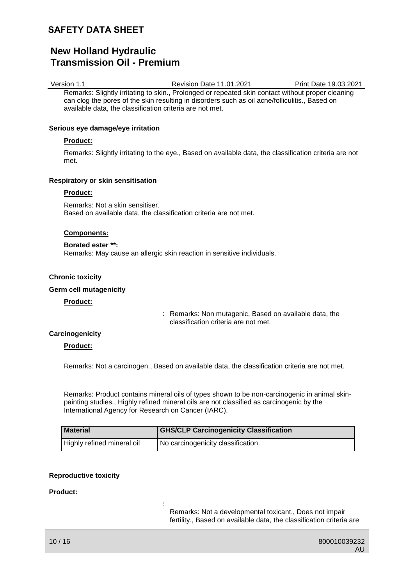# **New Holland Hydraulic Transmission Oil - Premium**

Version 1.1 Revision Date 11.01.2021 Print Date 19.03.2021 Remarks: Slightly irritating to skin., Prolonged or repeated skin contact without proper cleaning can clog the pores of the skin resulting in disorders such as oil acne/folliculitis., Based on available data, the classification criteria are not met.

#### **Serious eye damage/eye irritation**

#### **Product:**

Remarks: Slightly irritating to the eye., Based on available data, the classification criteria are not met.

#### **Respiratory or skin sensitisation**

#### **Product:**

Remarks: Not a skin sensitiser. Based on available data, the classification criteria are not met.

#### **Components:**

**Borated ester \*\*:** Remarks: May cause an allergic skin reaction in sensitive individuals.

:

#### **Chronic toxicity**

#### **Germ cell mutagenicity**

#### **Product:**

: Remarks: Non mutagenic, Based on available data, the classification criteria are not met.

### **Carcinogenicity**

### **Product:**

Remarks: Not a carcinogen., Based on available data, the classification criteria are not met.

Remarks: Product contains mineral oils of types shown to be non-carcinogenic in animal skinpainting studies., Highly refined mineral oils are not classified as carcinogenic by the International Agency for Research on Cancer (IARC).

| <b>Material</b>            | <b>GHS/CLP Carcinogenicity Classification</b>   |
|----------------------------|-------------------------------------------------|
| Highly refined mineral oil | <sup>1</sup> No carcinogenicity classification. |

### **Reproductive toxicity**

#### **Product:**

Remarks: Not a developmental toxicant., Does not impair fertility., Based on available data, the classification criteria are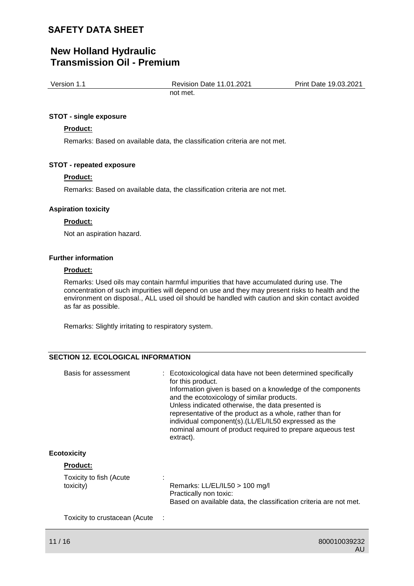# **New Holland Hydraulic Transmission Oil - Premium**

| Version 1.1 | <b>Revision Date 11.01.2021</b> | Print Date 19.03.2021 |
|-------------|---------------------------------|-----------------------|
|             | not met.                        |                       |

#### **STOT - single exposure**

### **Product:**

Remarks: Based on available data, the classification criteria are not met.

#### **STOT - repeated exposure**

#### **Product:**

Remarks: Based on available data, the classification criteria are not met.

#### **Aspiration toxicity**

#### **Product:**

Not an aspiration hazard.

#### **Further information**

### **Product:**

Remarks: Used oils may contain harmful impurities that have accumulated during use. The concentration of such impurities will depend on use and they may present risks to health and the environment on disposal., ALL used oil should be handled with caution and skin contact avoided as far as possible.

Remarks: Slightly irritating to respiratory system.

## **SECTION 12. ECOLOGICAL INFORMATION**

| Basis for assessment                 | : Ecotoxicological data have not been determined specifically<br>for this product.<br>Information given is based on a knowledge of the components<br>and the ecotoxicology of similar products.<br>Unless indicated otherwise, the data presented is<br>representative of the product as a whole, rather than for<br>individual component(s).(LL/EL/IL50 expressed as the<br>nominal amount of product required to prepare aqueous test<br>extract). |
|--------------------------------------|------------------------------------------------------------------------------------------------------------------------------------------------------------------------------------------------------------------------------------------------------------------------------------------------------------------------------------------------------------------------------------------------------------------------------------------------------|
| <b>Ecotoxicity</b>                   |                                                                                                                                                                                                                                                                                                                                                                                                                                                      |
| <b>Product:</b>                      |                                                                                                                                                                                                                                                                                                                                                                                                                                                      |
| Toxicity to fish (Acute<br>toxicity) | Remarks: LL/EL/IL50 > 100 mg/l<br>Practically non toxic:<br>Based on available data, the classification criteria are not met.                                                                                                                                                                                                                                                                                                                        |

Toxicity to crustacean (Acute :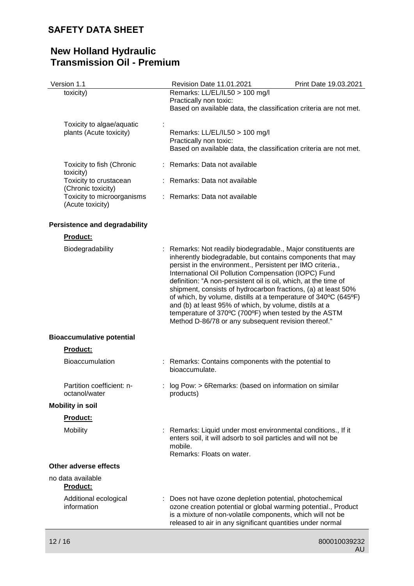| Version 1.1                                          | Revision Date 11.01.2021                                                                                                                                                                                                                                                                                                                                                                                                                                                                                                                                                                                                        | Print Date 19.03.2021 |
|------------------------------------------------------|---------------------------------------------------------------------------------------------------------------------------------------------------------------------------------------------------------------------------------------------------------------------------------------------------------------------------------------------------------------------------------------------------------------------------------------------------------------------------------------------------------------------------------------------------------------------------------------------------------------------------------|-----------------------|
| toxicity)                                            | Remarks: LL/EL/IL50 > 100 mg/l<br>Practically non toxic:<br>Based on available data, the classification criteria are not met.                                                                                                                                                                                                                                                                                                                                                                                                                                                                                                   |                       |
| Toxicity to algae/aquatic<br>plants (Acute toxicity) | Remarks: LL/EL/IL50 > 100 mg/l<br>Practically non toxic:<br>Based on available data, the classification criteria are not met.                                                                                                                                                                                                                                                                                                                                                                                                                                                                                                   |                       |
| Toxicity to fish (Chronic<br>toxicity)               | : Remarks: Data not available                                                                                                                                                                                                                                                                                                                                                                                                                                                                                                                                                                                                   |                       |
| Toxicity to crustacean<br>(Chronic toxicity)         | : Remarks: Data not available                                                                                                                                                                                                                                                                                                                                                                                                                                                                                                                                                                                                   |                       |
| Toxicity to microorganisms<br>(Acute toxicity)       | : Remarks: Data not available                                                                                                                                                                                                                                                                                                                                                                                                                                                                                                                                                                                                   |                       |
| <b>Persistence and degradability</b>                 |                                                                                                                                                                                                                                                                                                                                                                                                                                                                                                                                                                                                                                 |                       |
| <b>Product:</b>                                      |                                                                                                                                                                                                                                                                                                                                                                                                                                                                                                                                                                                                                                 |                       |
| Biodegradability                                     | Remarks: Not readily biodegradable., Major constituents are<br>inherently biodegradable, but contains components that may<br>persist in the environment., Persistent per IMO criteria.,<br>International Oil Pollution Compensation (IOPC) Fund<br>definition: "A non-persistent oil is oil, which, at the time of<br>shipment, consists of hydrocarbon fractions, (a) at least 50%<br>of which, by volume, distills at a temperature of 340°C (645°F)<br>and (b) at least 95% of which, by volume, distils at a<br>temperature of 370°C (700°F) when tested by the ASTM<br>Method D-86/78 or any subsequent revision thereof." |                       |
| <b>Bioaccumulative potential</b>                     |                                                                                                                                                                                                                                                                                                                                                                                                                                                                                                                                                                                                                                 |                       |
| <b>Product:</b>                                      |                                                                                                                                                                                                                                                                                                                                                                                                                                                                                                                                                                                                                                 |                       |
| <b>Bioaccumulation</b>                               | : Remarks: Contains components with the potential to<br>bioaccumulate.                                                                                                                                                                                                                                                                                                                                                                                                                                                                                                                                                          |                       |
| Partition coefficient: n-<br>octanol/water           | log Pow: > 6Remarks: (based on information on similar<br>products)                                                                                                                                                                                                                                                                                                                                                                                                                                                                                                                                                              |                       |
| <b>Mobility in soil</b>                              |                                                                                                                                                                                                                                                                                                                                                                                                                                                                                                                                                                                                                                 |                       |
| <b>Product:</b>                                      |                                                                                                                                                                                                                                                                                                                                                                                                                                                                                                                                                                                                                                 |                       |
| Mobility                                             | Remarks: Liquid under most environmental conditions., If it<br>enters soil, it will adsorb to soil particles and will not be<br>mobile.<br>Remarks: Floats on water.                                                                                                                                                                                                                                                                                                                                                                                                                                                            |                       |
| Other adverse effects                                |                                                                                                                                                                                                                                                                                                                                                                                                                                                                                                                                                                                                                                 |                       |
| no data available<br><b>Product:</b>                 |                                                                                                                                                                                                                                                                                                                                                                                                                                                                                                                                                                                                                                 |                       |
| Additional ecological<br>information                 | : Does not have ozone depletion potential, photochemical<br>ozone creation potential or global warming potential., Product<br>is a mixture of non-volatile components, which will not be<br>released to air in any significant quantities under normal                                                                                                                                                                                                                                                                                                                                                                          |                       |
| 12/16                                                |                                                                                                                                                                                                                                                                                                                                                                                                                                                                                                                                                                                                                                 | 800010039232          |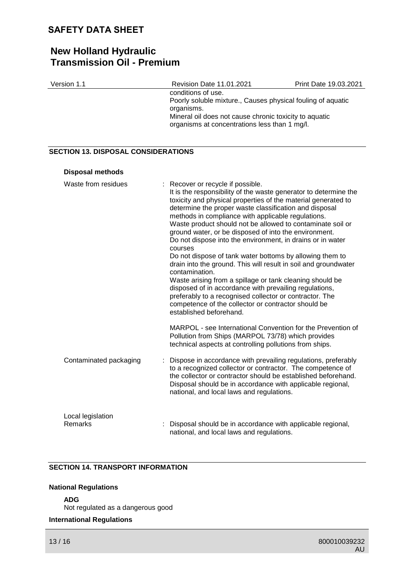# **New Holland Hydraulic Transmission Oil - Premium**

| Version 1.1                                | Revision Date 11.01.2021                                                                                                                                                                                                                                                                                                                                                                                                                                                                                                                                                                                                                                                                                                                                                                                                                                                                                   | Print Date 19.03.2021 |
|--------------------------------------------|------------------------------------------------------------------------------------------------------------------------------------------------------------------------------------------------------------------------------------------------------------------------------------------------------------------------------------------------------------------------------------------------------------------------------------------------------------------------------------------------------------------------------------------------------------------------------------------------------------------------------------------------------------------------------------------------------------------------------------------------------------------------------------------------------------------------------------------------------------------------------------------------------------|-----------------------|
|                                            | conditions of use.<br>Poorly soluble mixture., Causes physical fouling of aquatic<br>organisms.<br>Mineral oil does not cause chronic toxicity to aquatic<br>organisms at concentrations less than 1 mg/l.                                                                                                                                                                                                                                                                                                                                                                                                                                                                                                                                                                                                                                                                                                 |                       |
| <b>SECTION 13. DISPOSAL CONSIDERATIONS</b> |                                                                                                                                                                                                                                                                                                                                                                                                                                                                                                                                                                                                                                                                                                                                                                                                                                                                                                            |                       |
| <b>Disposal methods</b>                    |                                                                                                                                                                                                                                                                                                                                                                                                                                                                                                                                                                                                                                                                                                                                                                                                                                                                                                            |                       |
| Waste from residues                        | : Recover or recycle if possible.<br>It is the responsibility of the waste generator to determine the<br>toxicity and physical properties of the material generated to<br>determine the proper waste classification and disposal<br>methods in compliance with applicable regulations.<br>Waste product should not be allowed to contaminate soil or<br>ground water, or be disposed of into the environment.<br>Do not dispose into the environment, in drains or in water<br>courses<br>Do not dispose of tank water bottoms by allowing them to<br>drain into the ground. This will result in soil and groundwater<br>contamination.<br>Waste arising from a spillage or tank cleaning should be<br>disposed of in accordance with prevailing regulations,<br>preferably to a recognised collector or contractor. The<br>competence of the collector or contractor should be<br>established beforehand. |                       |
|                                            | MARPOL - see International Convention for the Prevention of<br>Pollution from Ships (MARPOL 73/78) which provides<br>technical aspects at controlling pollutions from ships.                                                                                                                                                                                                                                                                                                                                                                                                                                                                                                                                                                                                                                                                                                                               |                       |
| Contaminated packaging                     | Dispose in accordance with prevailing regulations, preferably<br>to a recognized collector or contractor. The competence of<br>the collector or contractor should be established beforehand.<br>Disposal should be in accordance with applicable regional,<br>national, and local laws and regulations.                                                                                                                                                                                                                                                                                                                                                                                                                                                                                                                                                                                                    |                       |
| Local legislation<br><b>Remarks</b>        | Disposal should be in accordance with applicable regional,<br>national, and local laws and regulations.                                                                                                                                                                                                                                                                                                                                                                                                                                                                                                                                                                                                                                                                                                                                                                                                    |                       |

## **SECTION 14. TRANSPORT INFORMATION**

### **National Regulations**

**ADG**

Not regulated as a dangerous good

## **International Regulations**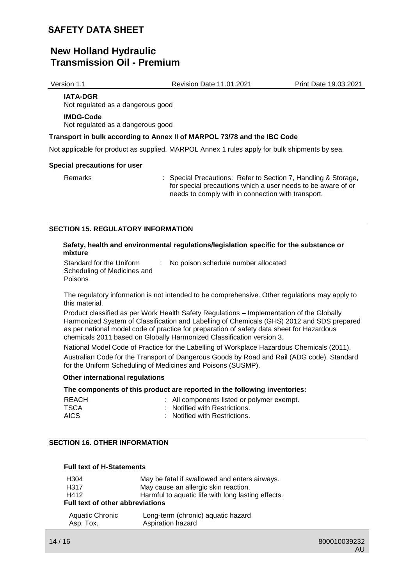## **New Holland Hydraulic Transmission Oil - Premium**

Version 1.1 Revision Date 11.01.2021 Print Date 19.03.2021

**IATA-DGR** Not regulated as a dangerous good

## **IMDG-Code**

Not regulated as a dangerous good

#### **Transport in bulk according to Annex II of MARPOL 73/78 and the IBC Code**

Not applicable for product as supplied. MARPOL Annex 1 rules apply for bulk shipments by sea.

#### **Special precautions for user**

Remarks : Special Precautions: Refer to Section 7, Handling & Storage, for special precautions which a user needs to be aware of or needs to comply with in connection with transport.

### **SECTION 15. REGULATORY INFORMATION**

#### **Safety, health and environmental regulations/legislation specific for the substance or mixture**

| Standard for the Uniform    | : No poison schedule number allocated |
|-----------------------------|---------------------------------------|
| Scheduling of Medicines and |                                       |
| Poisons                     |                                       |

The regulatory information is not intended to be comprehensive. Other regulations may apply to this material.

Product classified as per Work Health Safety Regulations – Implementation of the Globally Harmonized System of Classification and Labelling of Chemicals (GHS) 2012 and SDS prepared as per national model code of practice for preparation of safety data sheet for Hazardous chemicals 2011 based on Globally Harmonized Classification version 3.

National Model Code of Practice for the Labelling of Workplace Hazardous Chemicals (2011).

Australian Code for the Transport of Dangerous Goods by Road and Rail (ADG code). Standard for the Uniform Scheduling of Medicines and Poisons (SUSMP).

### **Other international regulations**

### **The components of this product are reported in the following inventories:**

| REACH | : All components listed or polymer exempt. |
|-------|--------------------------------------------|
| TSCA  | . Notified with Restrictions.              |
| AICS. | : Notified with Restrictions.              |

## **SECTION 16. OTHER INFORMATION**

#### **Full text of H-Statements**

| H <sub>304</sub>                        | May be fatal if swallowed and enters airways.      |  |
|-----------------------------------------|----------------------------------------------------|--|
| H317                                    | May cause an allergic skin reaction.               |  |
| H412                                    | Harmful to aquatic life with long lasting effects. |  |
| <b>Full text of other abbreviations</b> |                                                    |  |
| Aquatic Chronic                         | Long-term (chronic) aquatic hazard                 |  |
| Asp. Tox.                               | Aspiration hazard                                  |  |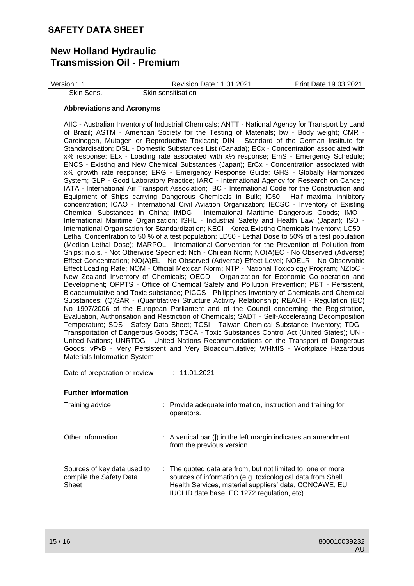# **New Holland Hydraulic Transmission Oil - Premium**

| Version 1.1 | <b>Revision Date 11.01.2021</b> | Print Date 19.03.2021 |
|-------------|---------------------------------|-----------------------|
| Skin Sens.  | Skin sensitisation              |                       |

#### **Abbreviations and Acronyms**

AIIC - Australian Inventory of Industrial Chemicals; ANTT - National Agency for Transport by Land of Brazil; ASTM - American Society for the Testing of Materials; bw - Body weight; CMR - Carcinogen, Mutagen or Reproductive Toxicant; DIN - Standard of the German Institute for Standardisation; DSL - Domestic Substances List (Canada); ECx - Concentration associated with x% response; ELx - Loading rate associated with x% response; EmS - Emergency Schedule; ENCS - Existing and New Chemical Substances (Japan); ErCx - Concentration associated with x% growth rate response; ERG - Emergency Response Guide; GHS - Globally Harmonized System; GLP - Good Laboratory Practice; IARC - International Agency for Research on Cancer; IATA - International Air Transport Association; IBC - International Code for the Construction and Equipment of Ships carrying Dangerous Chemicals in Bulk; IC50 - Half maximal inhibitory concentration; ICAO - International Civil Aviation Organization; IECSC - Inventory of Existing Chemical Substances in China; IMDG - International Maritime Dangerous Goods; IMO - International Maritime Organization; ISHL - Industrial Safety and Health Law (Japan); ISO - International Organisation for Standardization; KECI - Korea Existing Chemicals Inventory; LC50 - Lethal Concentration to 50 % of a test population; LD50 - Lethal Dose to 50% of a test population (Median Lethal Dose); MARPOL - International Convention for the Prevention of Pollution from Ships; n.o.s. - Not Otherwise Specified; Nch - Chilean Norm; NO(A)EC - No Observed (Adverse) Effect Concentration; NO(A)EL - No Observed (Adverse) Effect Level; NOELR - No Observable Effect Loading Rate; NOM - Official Mexican Norm; NTP - National Toxicology Program; NZIoC - New Zealand Inventory of Chemicals; OECD - Organization for Economic Co-operation and Development; OPPTS - Office of Chemical Safety and Pollution Prevention; PBT - Persistent, Bioaccumulative and Toxic substance; PICCS - Philippines Inventory of Chemicals and Chemical Substances; (Q)SAR - (Quantitative) Structure Activity Relationship; REACH - Regulation (EC) No 1907/2006 of the European Parliament and of the Council concerning the Registration, Evaluation, Authorisation and Restriction of Chemicals; SADT - Self-Accelerating Decomposition Temperature; SDS - Safety Data Sheet; TCSI - Taiwan Chemical Substance Inventory; TDG - Transportation of Dangerous Goods; TSCA - Toxic Substances Control Act (United States); UN - United Nations; UNRTDG - United Nations Recommendations on the Transport of Dangerous Goods; vPvB - Very Persistent and Very Bioaccumulative; WHMIS - Workplace Hazardous Materials Information System

Date of preparation or review : 11.01.2021

#### **Further information**

| Training advice                                                 | : Provide adequate information, instruction and training for<br>operators.                                                                                                                                                         |
|-----------------------------------------------------------------|------------------------------------------------------------------------------------------------------------------------------------------------------------------------------------------------------------------------------------|
| Other information                                               | $\therefore$ A vertical bar ( ) in the left margin indicates an amendment<br>from the previous version.                                                                                                                            |
| Sources of key data used to<br>compile the Safety Data<br>Sheet | : The quoted data are from, but not limited to, one or more<br>sources of information (e.g. toxicological data from Shell<br>Health Services, material suppliers' data, CONCAWE, EU<br>IUCLID date base, EC 1272 regulation, etc). |